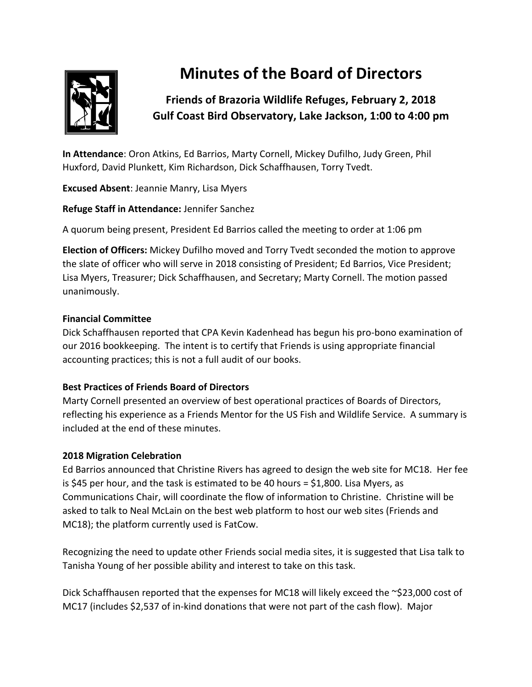

# **Minutes of the Board of Directors**

# **Friends of Brazoria Wildlife Refuges, February 2, 2018 Gulf Coast Bird Observatory, Lake Jackson, 1:00 to 4:00 pm**

**In Attendance**: Oron Atkins, Ed Barrios, Marty Cornell, Mickey Dufilho, Judy Green, Phil Huxford, David Plunkett, Kim Richardson, Dick Schaffhausen, Torry Tvedt.

**Excused Absent**: Jeannie Manry, Lisa Myers

**Refuge Staff in Attendance:** Jennifer Sanchez

A quorum being present, President Ed Barrios called the meeting to order at 1:06 pm

**Election of Officers:** Mickey Dufilho moved and Torry Tvedt seconded the motion to approve the slate of officer who will serve in 2018 consisting of President; Ed Barrios, Vice President; Lisa Myers, Treasurer; Dick Schaffhausen, and Secretary; Marty Cornell. The motion passed unanimously.

# **Financial Committee**

Dick Schaffhausen reported that CPA Kevin Kadenhead has begun his pro-bono examination of our 2016 bookkeeping. The intent is to certify that Friends is using appropriate financial accounting practices; this is not a full audit of our books.

# **Best Practices of Friends Board of Directors**

Marty Cornell presented an overview of best operational practices of Boards of Directors, reflecting his experience as a Friends Mentor for the US Fish and Wildlife Service. A summary is included at the end of these minutes.

# **2018 Migration Celebration**

Ed Barrios announced that Christine Rivers has agreed to design the web site for MC18. Her fee is \$45 per hour, and the task is estimated to be 40 hours = \$1,800. Lisa Myers, as Communications Chair, will coordinate the flow of information to Christine. Christine will be asked to talk to Neal McLain on the best web platform to host our web sites (Friends and MC18); the platform currently used is FatCow.

Recognizing the need to update other Friends social media sites, it is suggested that Lisa talk to Tanisha Young of her possible ability and interest to take on this task.

Dick Schaffhausen reported that the expenses for MC18 will likely exceed the ~\$23,000 cost of MC17 (includes \$2,537 of in-kind donations that were not part of the cash flow). Major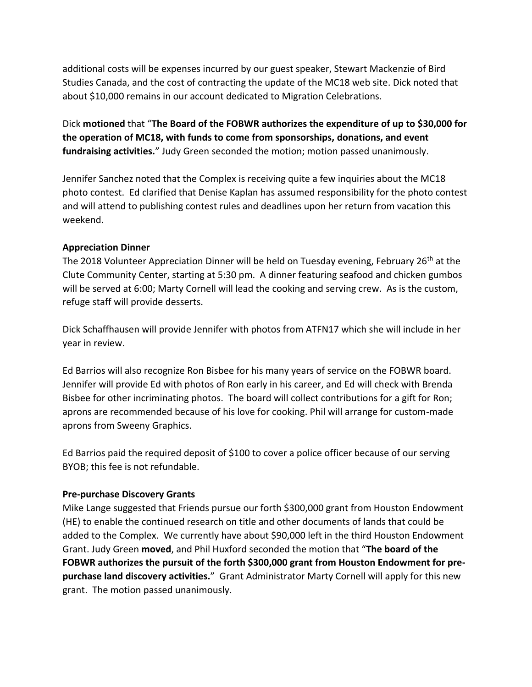additional costs will be expenses incurred by our guest speaker, Stewart Mackenzie of Bird Studies Canada, and the cost of contracting the update of the MC18 web site. Dick noted that about \$10,000 remains in our account dedicated to Migration Celebrations.

Dick **motioned** that "**The Board of the FOBWR authorizes the expenditure of up to \$30,000 for the operation of MC18, with funds to come from sponsorships, donations, and event fundraising activities.**" Judy Green seconded the motion; motion passed unanimously.

Jennifer Sanchez noted that the Complex is receiving quite a few inquiries about the MC18 photo contest. Ed clarified that Denise Kaplan has assumed responsibility for the photo contest and will attend to publishing contest rules and deadlines upon her return from vacation this weekend.

#### **Appreciation Dinner**

The 2018 Volunteer Appreciation Dinner will be held on Tuesday evening, February 26<sup>th</sup> at the Clute Community Center, starting at 5:30 pm. A dinner featuring seafood and chicken gumbos will be served at 6:00; Marty Cornell will lead the cooking and serving crew. As is the custom, refuge staff will provide desserts.

Dick Schaffhausen will provide Jennifer with photos from ATFN17 which she will include in her year in review.

Ed Barrios will also recognize Ron Bisbee for his many years of service on the FOBWR board. Jennifer will provide Ed with photos of Ron early in his career, and Ed will check with Brenda Bisbee for other incriminating photos. The board will collect contributions for a gift for Ron; aprons are recommended because of his love for cooking. Phil will arrange for custom-made aprons from Sweeny Graphics.

Ed Barrios paid the required deposit of \$100 to cover a police officer because of our serving BYOB; this fee is not refundable.

#### **Pre-purchase Discovery Grants**

Mike Lange suggested that Friends pursue our forth \$300,000 grant from Houston Endowment (HE) to enable the continued research on title and other documents of lands that could be added to the Complex. We currently have about \$90,000 left in the third Houston Endowment Grant. Judy Green **moved**, and Phil Huxford seconded the motion that "**The board of the FOBWR authorizes the pursuit of the forth \$300,000 grant from Houston Endowment for prepurchase land discovery activities.**" Grant Administrator Marty Cornell will apply for this new grant. The motion passed unanimously.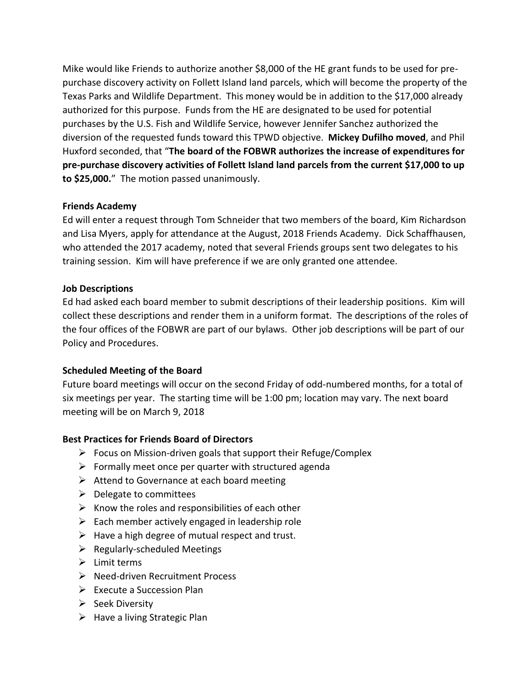Mike would like Friends to authorize another \$8,000 of the HE grant funds to be used for prepurchase discovery activity on Follett Island land parcels, which will become the property of the Texas Parks and Wildlife Department. This money would be in addition to the \$17,000 already authorized for this purpose. Funds from the HE are designated to be used for potential purchases by the U.S. Fish and Wildlife Service, however Jennifer Sanchez authorized the diversion of the requested funds toward this TPWD objective. **Mickey Dufilho moved**, and Phil Huxford seconded, that "**The board of the FOBWR authorizes the increase of expenditures for pre-purchase discovery activities of Follett Island land parcels from the current \$17,000 to up to \$25,000.**" The motion passed unanimously.

#### **Friends Academy**

Ed will enter a request through Tom Schneider that two members of the board, Kim Richardson and Lisa Myers, apply for attendance at the August, 2018 Friends Academy. Dick Schaffhausen, who attended the 2017 academy, noted that several Friends groups sent two delegates to his training session. Kim will have preference if we are only granted one attendee.

#### **Job Descriptions**

Ed had asked each board member to submit descriptions of their leadership positions. Kim will collect these descriptions and render them in a uniform format. The descriptions of the roles of the four offices of the FOBWR are part of our bylaws. Other job descriptions will be part of our Policy and Procedures.

## **Scheduled Meeting of the Board**

Future board meetings will occur on the second Friday of odd-numbered months, for a total of six meetings per year. The starting time will be 1:00 pm; location may vary. The next board meeting will be on March 9, 2018

## **Best Practices for Friends Board of Directors**

- ➢ Focus on Mission-driven goals that support their Refuge/Complex
- $\triangleright$  Formally meet once per quarter with structured agenda
- $\triangleright$  Attend to Governance at each board meeting
- $\triangleright$  Delegate to committees
- $\triangleright$  Know the roles and responsibilities of each other
- $\triangleright$  Each member actively engaged in leadership role
- $\triangleright$  Have a high degree of mutual respect and trust.
- $\triangleright$  Regularly-scheduled Meetings
- $\triangleright$  Limit terms
- ➢ Need-driven Recruitment Process
- ➢ Execute a Succession Plan
- ➢ Seek Diversity
- $\triangleright$  Have a living Strategic Plan